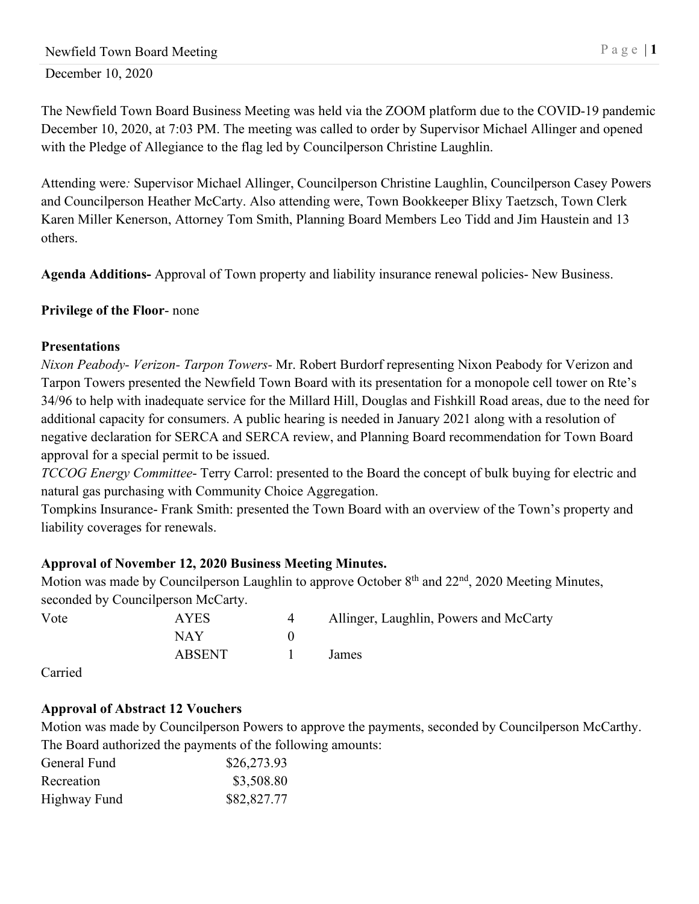The Newfield Town Board Business Meeting was held via the ZOOM platform due to the COVID-19 pandemic December 10, 2020, at 7:03 PM. The meeting was called to order by Supervisor Michael Allinger and opened with the Pledge of Allegiance to the flag led by Councilperson Christine Laughlin.

Attending were*:* Supervisor Michael Allinger, Councilperson Christine Laughlin, Councilperson Casey Powers and Councilperson Heather McCarty. Also attending were, Town Bookkeeper Blixy Taetzsch, Town Clerk Karen Miller Kenerson, Attorney Tom Smith, Planning Board Members Leo Tidd and Jim Haustein and 13 others.

**Agenda Additions-** Approval of Town property and liability insurance renewal policies- New Business.

## **Privilege of the Floor**- none

### **Presentations**

*Nixon Peabody- Verizon- Tarpon Towers-* Mr. Robert Burdorf representing Nixon Peabody for Verizon and Tarpon Towers presented the Newfield Town Board with its presentation for a monopole cell tower on Rte's 34/96 to help with inadequate service for the Millard Hill, Douglas and Fishkill Road areas, due to the need for additional capacity for consumers. A public hearing is needed in January 2021 along with a resolution of negative declaration for SERCA and SERCA review, and Planning Board recommendation for Town Board approval for a special permit to be issued.

*TCCOG Energy Committee*- Terry Carrol: presented to the Board the concept of bulk buying for electric and natural gas purchasing with Community Choice Aggregation.

Tompkins Insurance- Frank Smith: presented the Town Board with an overview of the Town's property and liability coverages for renewals.

## **Approval of November 12, 2020 Business Meeting Minutes.**

Motion was made by Councilperson Laughlin to approve October 8<sup>th</sup> and 22<sup>nd</sup>, 2020 Meeting Minutes, seconded by Councilperson McCarty.

| Vote | <b>AYES</b> | Allinger, Laughlin, Powers and McCarty |
|------|-------------|----------------------------------------|
|      | NAY         |                                        |
|      | ABSENT      | James.                                 |

Carried

## **Approval of Abstract 12 Vouchers**

Motion was made by Councilperson Powers to approve the payments, seconded by Councilperson McCarthy. The Board authorized the payments of the following amounts:

| General Fund | \$26,273.93 |
|--------------|-------------|
| Recreation   | \$3,508.80  |
| Highway Fund | \$82,827.77 |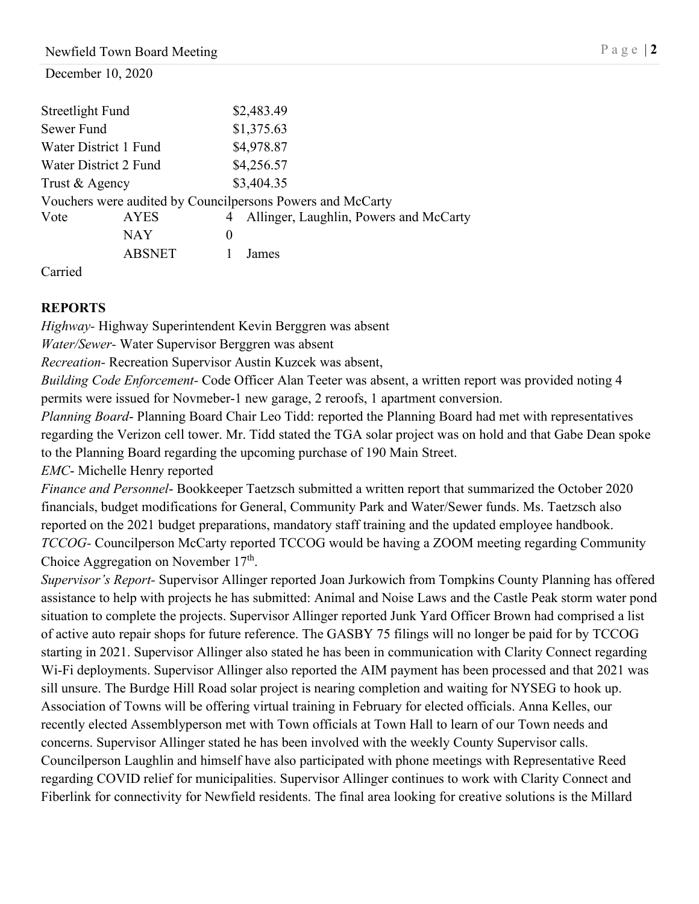| Streetlight Fund |                       |          | \$2,483.49                                                 |
|------------------|-----------------------|----------|------------------------------------------------------------|
| Sewer Fund       |                       |          | \$1,375.63                                                 |
|                  | Water District 1 Fund |          | \$4,978.87                                                 |
|                  | Water District 2 Fund |          | \$4,256.57                                                 |
| Trust & Agency   |                       |          | \$3,404.35                                                 |
|                  |                       |          | Vouchers were audited by Councilpersons Powers and McCarty |
| Vote             | <b>AYES</b>           |          | Allinger, Laughlin, Powers and McCarty                     |
|                  | NAY                   | $\theta$ |                                                            |
|                  | <b>ABSNET</b>         |          | James                                                      |

Carried

## **REPORTS**

*Highway-* Highway Superintendent Kevin Berggren was absent

*Water/Sewer-* Water Supervisor Berggren was absent

*Recreation-* Recreation Supervisor Austin Kuzcek was absent,

*Building Code Enforcement-* Code Officer Alan Teeter was absent, a written report was provided noting 4 permits were issued for Novmeber-1 new garage, 2 reroofs, 1 apartment conversion.

*Planning Board*- Planning Board Chair Leo Tidd: reported the Planning Board had met with representatives regarding the Verizon cell tower. Mr. Tidd stated the TGA solar project was on hold and that Gabe Dean spoke to the Planning Board regarding the upcoming purchase of 190 Main Street.

*EMC*- Michelle Henry reported

*Finance and Personnel*- Bookkeeper Taetzsch submitted a written report that summarized the October 2020 financials, budget modifications for General, Community Park and Water/Sewer funds. Ms. Taetzsch also reported on the 2021 budget preparations, mandatory staff training and the updated employee handbook. *TCCOG-* Councilperson McCarty reported TCCOG would be having a ZOOM meeting regarding Community Choice Aggregation on November  $17<sup>th</sup>$ .

*Supervisor's Report-* Supervisor Allinger reported Joan Jurkowich from Tompkins County Planning has offered assistance to help with projects he has submitted: Animal and Noise Laws and the Castle Peak storm water pond situation to complete the projects. Supervisor Allinger reported Junk Yard Officer Brown had comprised a list of active auto repair shops for future reference. The GASBY 75 filings will no longer be paid for by TCCOG starting in 2021. Supervisor Allinger also stated he has been in communication with Clarity Connect regarding Wi-Fi deployments. Supervisor Allinger also reported the AIM payment has been processed and that 2021 was sill unsure. The Burdge Hill Road solar project is nearing completion and waiting for NYSEG to hook up. Association of Towns will be offering virtual training in February for elected officials. Anna Kelles, our recently elected Assemblyperson met with Town officials at Town Hall to learn of our Town needs and concerns. Supervisor Allinger stated he has been involved with the weekly County Supervisor calls. Councilperson Laughlin and himself have also participated with phone meetings with Representative Reed regarding COVID relief for municipalities. Supervisor Allinger continues to work with Clarity Connect and Fiberlink for connectivity for Newfield residents. The final area looking for creative solutions is the Millard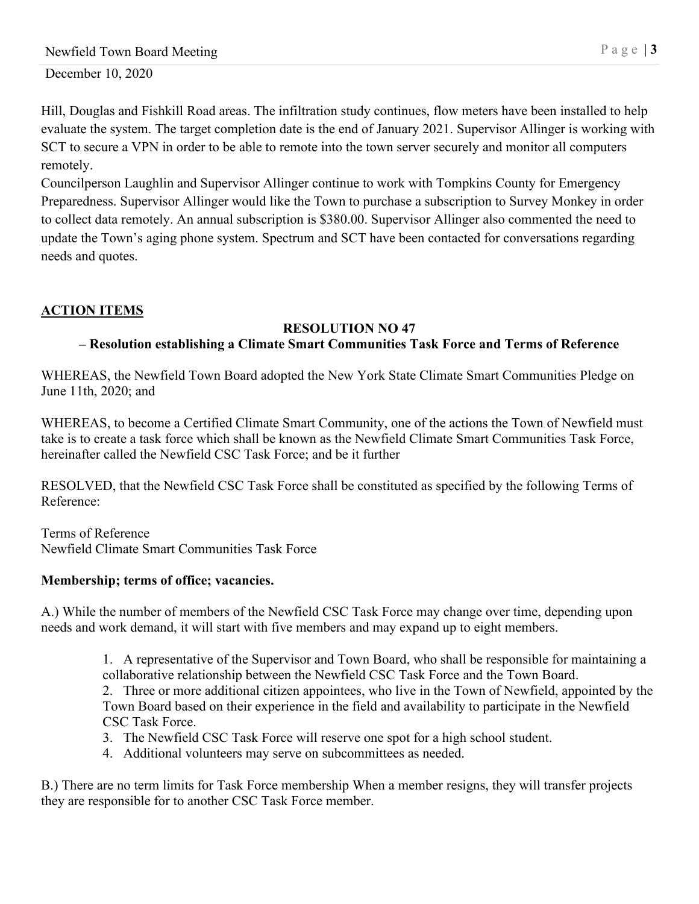Hill, Douglas and Fishkill Road areas. The infiltration study continues, flow meters have been installed to help evaluate the system. The target completion date is the end of January 2021. Supervisor Allinger is working with SCT to secure a VPN in order to be able to remote into the town server securely and monitor all computers remotely.

Councilperson Laughlin and Supervisor Allinger continue to work with Tompkins County for Emergency Preparedness. Supervisor Allinger would like the Town to purchase a subscription to Survey Monkey in order to collect data remotely. An annual subscription is \$380.00. Supervisor Allinger also commented the need to update the Town's aging phone system. Spectrum and SCT have been contacted for conversations regarding needs and quotes.

# **ACTION ITEMS**

### **RESOLUTION NO 47**

## **– Resolution establishing a Climate Smart Communities Task Force and Terms of Reference**

WHEREAS, the Newfield Town Board adopted the New York State Climate Smart Communities Pledge on June 11th, 2020; and

WHEREAS, to become a Certified Climate Smart Community, one of the actions the Town of Newfield must take is to create a task force which shall be known as the Newfield Climate Smart Communities Task Force, hereinafter called the Newfield CSC Task Force; and be it further

RESOLVED, that the Newfield CSC Task Force shall be constituted as specified by the following Terms of Reference:

Terms of Reference Newfield Climate Smart Communities Task Force

## **Membership; terms of office; vacancies.**

A.) While the number of members of the Newfield CSC Task Force may change over time, depending upon needs and work demand, it will start with five members and may expand up to eight members.

> 1. A representative of the Supervisor and Town Board, who shall be responsible for maintaining a collaborative relationship between the Newfield CSC Task Force and the Town Board. 2. Three or more additional citizen appointees, who live in the Town of Newfield, appointed by the

> Town Board based on their experience in the field and availability to participate in the Newfield CSC Task Force.

- 3. The Newfield CSC Task Force will reserve one spot for a high school student.
- 4. Additional volunteers may serve on subcommittees as needed.

B.) There are no term limits for Task Force membership When a member resigns, they will transfer projects they are responsible for to another CSC Task Force member.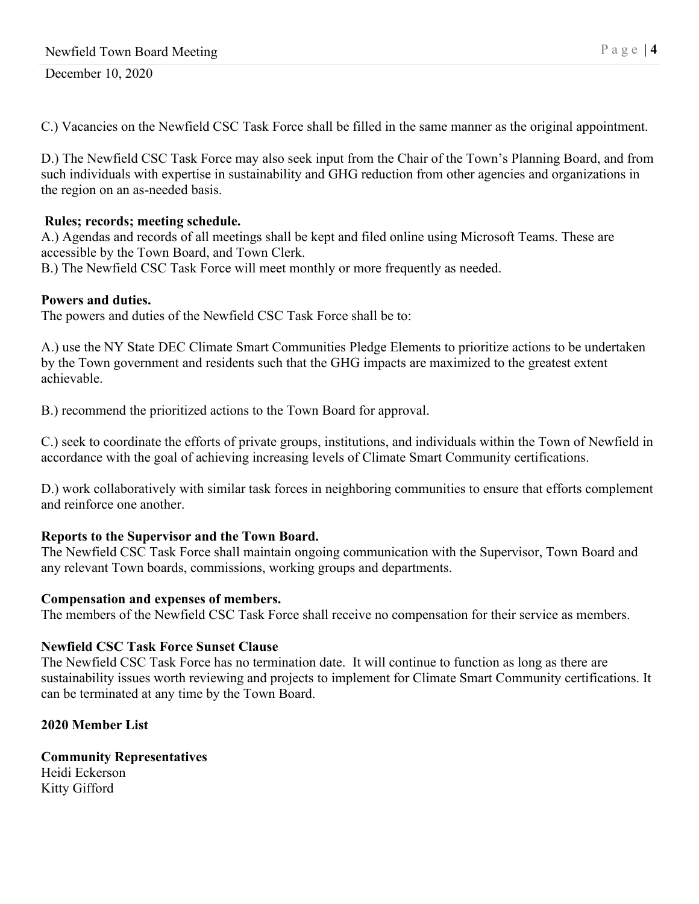C.) Vacancies on the Newfield CSC Task Force shall be filled in the same manner as the original appointment.

D.) The Newfield CSC Task Force may also seek input from the Chair of the Town's Planning Board, and from such individuals with expertise in sustainability and GHG reduction from other agencies and organizations in the region on an as-needed basis.

## **Rules; records; meeting schedule.**

A.) Agendas and records of all meetings shall be kept and filed online using Microsoft Teams. These are accessible by the Town Board, and Town Clerk.

B.) The Newfield CSC Task Force will meet monthly or more frequently as needed.

## **Powers and duties.**

The powers and duties of the Newfield CSC Task Force shall be to:

A.) use the NY State DEC Climate Smart Communities Pledge Elements to prioritize actions to be undertaken by the Town government and residents such that the GHG impacts are maximized to the greatest extent achievable.

B.) recommend the prioritized actions to the Town Board for approval.

C.) seek to coordinate the efforts of private groups, institutions, and individuals within the Town of Newfield in accordance with the goal of achieving increasing levels of Climate Smart Community certifications.

D.) work collaboratively with similar task forces in neighboring communities to ensure that efforts complement and reinforce one another.

## **Reports to the Supervisor and the Town Board.**

The Newfield CSC Task Force shall maintain ongoing communication with the Supervisor, Town Board and any relevant Town boards, commissions, working groups and departments.

## **Compensation and expenses of members.**

The members of the Newfield CSC Task Force shall receive no compensation for their service as members.

# **Newfield CSC Task Force Sunset Clause**

The Newfield CSC Task Force has no termination date. It will continue to function as long as there are sustainability issues worth reviewing and projects to implement for Climate Smart Community certifications. It can be terminated at any time by the Town Board.

# **2020 Member List**

### **Community Representatives** Heidi Eckerson Kitty Gifford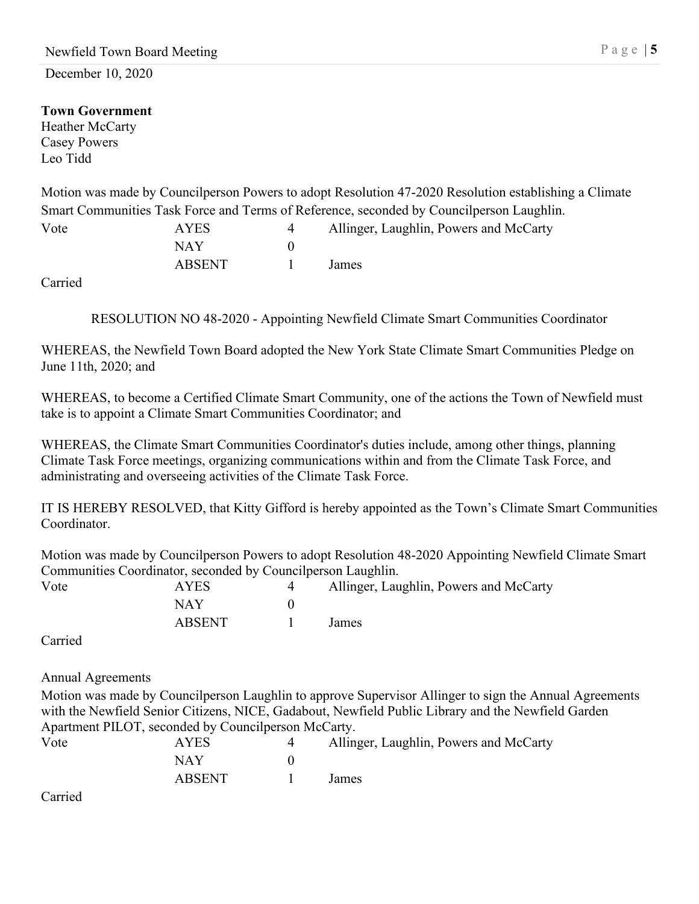## **Town Government**

Heather McCarty Casey Powers Leo Tidd

Motion was made by Councilperson Powers to adopt Resolution 47-2020 Resolution establishing a Climate Smart Communities Task Force and Terms of Reference, seconded by Councilperson Laughlin.

| Vote | AYES          | Allinger, Laughlin, Powers and McCarty |
|------|---------------|----------------------------------------|
|      | NAY           |                                        |
|      | <b>ABSENT</b> | James                                  |

Carried

RESOLUTION NO 48-2020 - Appointing Newfield Climate Smart Communities Coordinator

WHEREAS, the Newfield Town Board adopted the New York State Climate Smart Communities Pledge on June 11th, 2020; and

WHEREAS, to become a Certified Climate Smart Community, one of the actions the Town of Newfield must take is to appoint a Climate Smart Communities Coordinator; and

WHEREAS, the Climate Smart Communities Coordinator's duties include, among other things, planning Climate Task Force meetings, organizing communications within and from the Climate Task Force, and administrating and overseeing activities of the Climate Task Force.

IT IS HEREBY RESOLVED, that Kitty Gifford is hereby appointed as the Town's Climate Smart Communities Coordinator.

Motion was made by Councilperson Powers to adopt Resolution 48-2020 Appointing Newfield Climate Smart Communities Coordinator, seconded by Councilperson Laughlin.

| Vote | <b>AYES</b> | Allinger, Laughlin, Powers and McCarty |
|------|-------------|----------------------------------------|
|      | NAY         |                                        |
|      | ABSENT      | James                                  |

Carried

Annual Agreements

Motion was made by Councilperson Laughlin to approve Supervisor Allinger to sign the Annual Agreements with the Newfield Senior Citizens, NICE, Gadabout, Newfield Public Library and the Newfield Garden Apartment PILOT, seconded by Councilperson McCarty.

| Vote | <b>AYES</b>   | Allinger, Laughlin, Powers and McCarty |
|------|---------------|----------------------------------------|
|      | NAY           |                                        |
|      | <b>ABSENT</b> | James                                  |

Carried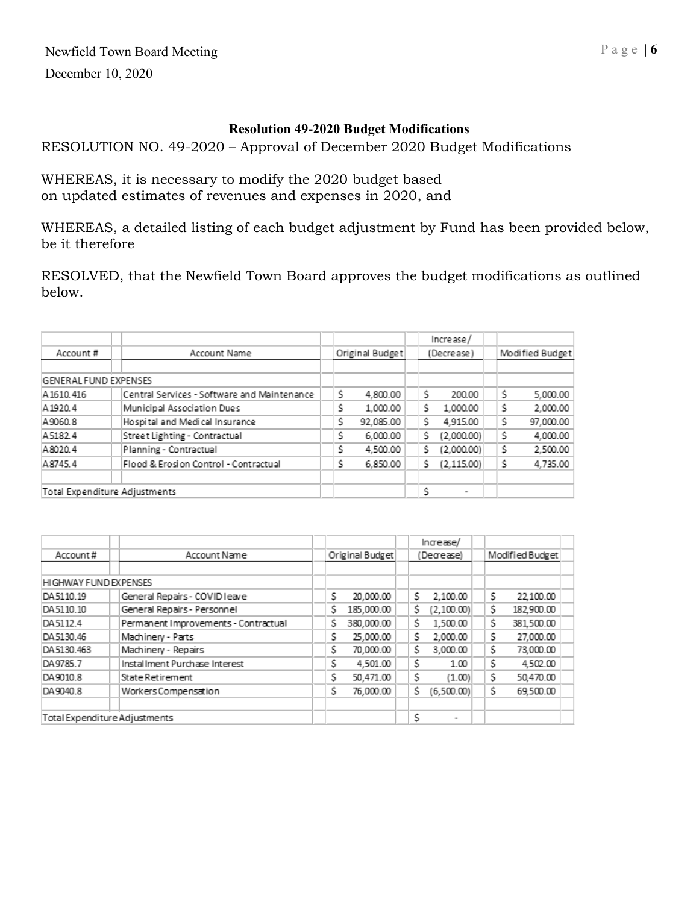#### **Resolution 49-2020 Budget Modifications**

RESOLUTION NO. 49-2020 – Approval of December 2020 Budget Modifications

WHEREAS, it is necessary to modify the 2020 budget based on updated estimates of revenues and expenses in 2020, and

WHEREAS, a detailed listing of each budget adjustment by Fund has been provided below, be it therefore

RESOLVED, that the Newfield Town Board approves the budget modifications as outlined below.

|                               |                                             |                 |    | Increase/   |    |                 |
|-------------------------------|---------------------------------------------|-----------------|----|-------------|----|-----------------|
| Account#                      | Account Name                                | Original Budget |    | (Decrease)  |    | Modified Budget |
|                               |                                             |                 |    |             |    |                 |
| GENERAL FUND EXPENSES         |                                             |                 |    |             |    |                 |
| A1610.416                     | Central Services - Software and Maintenance | Ŝ.<br>4,800.00  | Ś. | 200.00      | Ŝ  | 5,000.00        |
| A 1920.4                      | Municipal Association Dues                  | Ś<br>1,000.00   | Ŝ. | 1,000.00    | Ś. | 2,000.00        |
| A9060.8                       | Hospital and Medical Insurance              | Ś<br>92.085.00  | Ś. | 4,915.00    | Ś. | 97,000.00       |
| A5182.4                       | Street Lighting - Contractual               | Ś<br>6,000.00   | Ś. | (2,000.00)  | Ś  | 4,000.00        |
| A8020.4                       | Planning - Contractual                      | Ś<br>4,500.00   | Ś  | (2,000.00)  | Ś  | 2,500.00        |
| A8745.4                       | Flood & Erosion Control - Contractual       | Ś<br>6,850.00   | Ś  | (2, 115.00) | Ś  | 4,735.00        |
|                               |                                             |                 |    |             |    |                 |
| Total Expenditure Adjustments |                                             |                 | ۹  | ۰           |    |                 |

|                               |                                      |                 | In a case/       |                  |
|-------------------------------|--------------------------------------|-----------------|------------------|------------------|
| Account#                      | Account Name                         | Original Budget | (Decrease)       | Modified Budget  |
|                               |                                      |                 |                  |                  |
| HIGHWAY FUND EXPENSES         |                                      |                 |                  |                  |
| DA5110.19                     | General Repairs - COVID leave        | \$<br>20,000.00 | 2.100.00<br>S.   | \$<br>22,100.00  |
| DA5110.10                     | General Repairs - Personnel          | Ś<br>185,000.00 | S<br>(2,100.00)  | \$<br>182,900.00 |
| DA5112.4                      | Permanent Improvements - Contractual | 380,000.00<br>Ś | Ś<br>1,500.00    | Ś<br>381,500.00  |
| DA 5130.46                    | Machinery - Parts                    | 25,000.00<br>Ś  | 2,000.00<br>Ś    | Ś<br>27,000.00   |
| DA 5130.463                   | Machinery - Repairs                  | \$<br>70,000.00 | Ś<br>3,000.00    | Ś<br>73,000.00   |
| DA9785.7                      | Installment Purchase Interest        | Ś<br>4,501.00   | Ś<br>1.00        | Ś<br>4,502.00    |
| DA9010.8                      | State Retirement                     | Ś<br>50,471.00  | \$<br>(1.00)     | \$<br>50,470.00  |
| DA 9040.8                     | Workers Compensation                 | Ś<br>76,000.00  | \$<br>(6,500.00) | \$<br>69,500.00  |
|                               |                                      |                 |                  |                  |
| Total Expenditure Adjustments |                                      |                 | S<br>۰           |                  |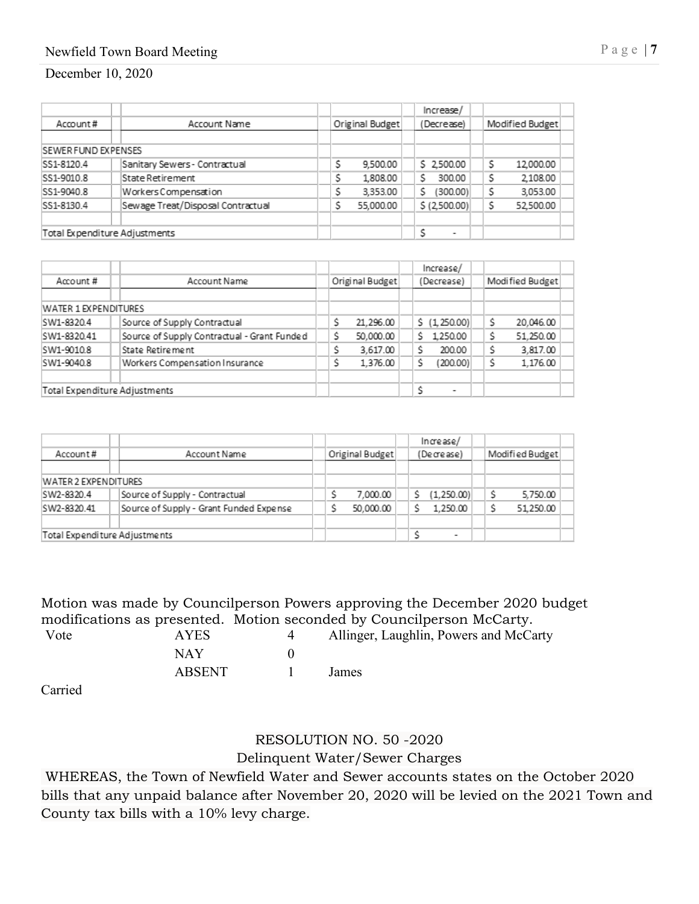## Newfield Town Board Meeting P a g e | 7

#### December 10, 2020

|                               |                                   |                 | Increase/                |  |   |                 |
|-------------------------------|-----------------------------------|-----------------|--------------------------|--|---|-----------------|
| Account#                      | Account Name                      | Original Budget | (Decrease)               |  |   | Modified Budget |
|                               |                                   |                 |                          |  |   |                 |
| <b>ISEWER FUND EXPENSES</b>   |                                   |                 |                          |  |   |                 |
| SS1-8120.4                    | Sanitary Sewers - Contractual     | Ś<br>9,500.00   | \$2,500.00               |  | Ś | 12,000.00       |
| SS1-9010.8                    | lState Retirement                 | S<br>1,808.00   | Ś<br>300.00              |  | S | 2,108.00        |
| SS1-9040.8                    | Workers Compensation              | Ś<br>3,353.00   | S<br>(300.00)            |  |   | 3,053.00        |
| SS1-8130.4                    | Sewage Treat/Disposal Contractual | 55,000.00       | \$(2,500.00)             |  |   | 52,500.00       |
|                               |                                   |                 |                          |  |   |                 |
| Total Expenditure Adjustments |                                   |                 | $\overline{\phantom{a}}$ |  |   |                 |

|                               |  |                                             |                 |                          | Increase/      |  |                 |  |
|-------------------------------|--|---------------------------------------------|-----------------|--------------------------|----------------|--|-----------------|--|
| Account#                      |  | Account Name                                | Original Budget |                          | (Decrease)     |  | Modified Budget |  |
|                               |  |                                             |                 |                          |                |  |                 |  |
| WATER 1 EXPENDITURES          |  |                                             |                 |                          |                |  |                 |  |
| SW1-8320.4                    |  | Source of Supply Contractual                | 21.296.00       |                          | \$(1,250.00)   |  | 20,046.00       |  |
| SW1-8320.41                   |  | Source of Supply Contractual - Grant Funded | 50,000.00       |                          | 1,250.00<br>Ś. |  | 51,250.00       |  |
| SW1-9010.8                    |  | State Retirement                            | 3,617.00        |                          | 200.00         |  | 3,817.00        |  |
| SW1-9040.8                    |  | Workers Compensation Insurance              | 1.376.00        |                          | (200.00)       |  | 1,176.00        |  |
|                               |  |                                             |                 |                          |                |  |                 |  |
| Total Expenditure Adjustments |  |                                             |                 | $\overline{\phantom{a}}$ |                |  |                 |  |

|                               |                                         |                 | Increase/                |                 |
|-------------------------------|-----------------------------------------|-----------------|--------------------------|-----------------|
| Account#                      | Account Name                            | Original Budget | (Decrease)               | Modified Budget |
|                               |                                         |                 |                          |                 |
| WATER 2 EXPENDITURES          |                                         |                 |                          |                 |
| SW2-8320.4                    | Source of Supply - Contractual          | 7.000.00        | (1,250.00)               | 5,750.00        |
| SW2-8320.41                   | Source of Supply - Grant Funded Expense | 50,000.00       | 1.250.00                 | 51.250.00       |
|                               |                                         |                 |                          |                 |
| Total Expenditure Adjustments |                                         |                 | $\overline{\phantom{a}}$ |                 |

Motion was made by Councilperson Powers approving the December 2020 budget modifications as presented. Motion seconded by Councilperson McCarty.<br>Vote AYES 4 Allinger, Laughlin, Powers and McCa 4 Allinger, Laughlin, Powers and McCarty NAY 0

| <b>ABSENT</b> | James |
|---------------|-------|
|               |       |

Carried

# RESOLUTION NO. 50 -2020 Delinquent Water/Sewer Charges

WHEREAS, the Town of Newfield Water and Sewer accounts states on the October 2020 bills that any unpaid balance after November 20, 2020 will be levied on the 2021 Town and County tax bills with a 10% levy charge.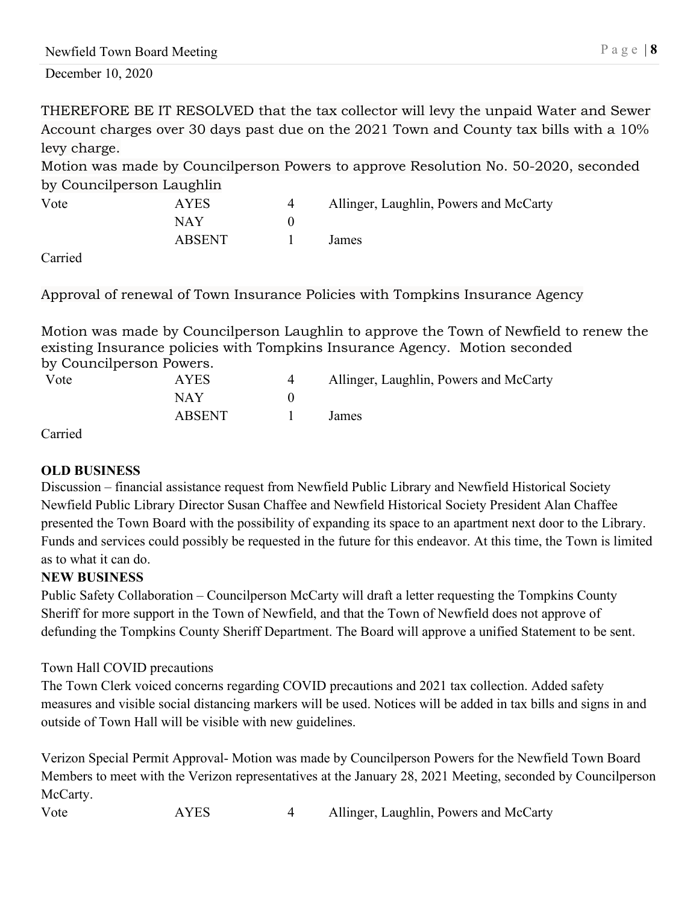THEREFORE BE IT RESOLVED that the tax collector will levy the unpaid Water and Sewer Account charges over 30 days past due on the 2021 Town and County tax bills with a 10% levy charge.

Motion was made by Councilperson Powers to approve Resolution No. 50-2020, seconded by Councilperson Laughlin

| Vote | AYES   | Allinger, Laughlin, Powers and McCarty |
|------|--------|----------------------------------------|
|      | NAY    |                                        |
|      | ABSENT | James                                  |

Carried

Approval of renewal of Town Insurance Policies with Tompkins Insurance Agency

Motion was made by Councilperson Laughlin to approve the Town of Newfield to renew the existing Insurance policies with Tompkins Insurance Agency. Motion seconded by Councilperson Powers.

| Vote | <b>AYES</b> | Allinger, Laughlin, Powers and McCarty |
|------|-------------|----------------------------------------|
|      | NAY         |                                        |
|      | ABSENT      | James                                  |

Carried

### **OLD BUSINESS**

Discussion – financial assistance request from Newfield Public Library and Newfield Historical Society Newfield Public Library Director Susan Chaffee and Newfield Historical Society President Alan Chaffee presented the Town Board with the possibility of expanding its space to an apartment next door to the Library. Funds and services could possibly be requested in the future for this endeavor. At this time, the Town is limited as to what it can do.

## **NEW BUSINESS**

Public Safety Collaboration – Councilperson McCarty will draft a letter requesting the Tompkins County Sheriff for more support in the Town of Newfield, and that the Town of Newfield does not approve of defunding the Tompkins County Sheriff Department. The Board will approve a unified Statement to be sent.

### Town Hall COVID precautions

The Town Clerk voiced concerns regarding COVID precautions and 2021 tax collection. Added safety measures and visible social distancing markers will be used. Notices will be added in tax bills and signs in and outside of Town Hall will be visible with new guidelines.

Verizon Special Permit Approval- Motion was made by Councilperson Powers for the Newfield Town Board Members to meet with the Verizon representatives at the January 28, 2021 Meeting, seconded by Councilperson McCarty.

Vote AYES 4 Allinger, Laughlin, Powers and McCarty